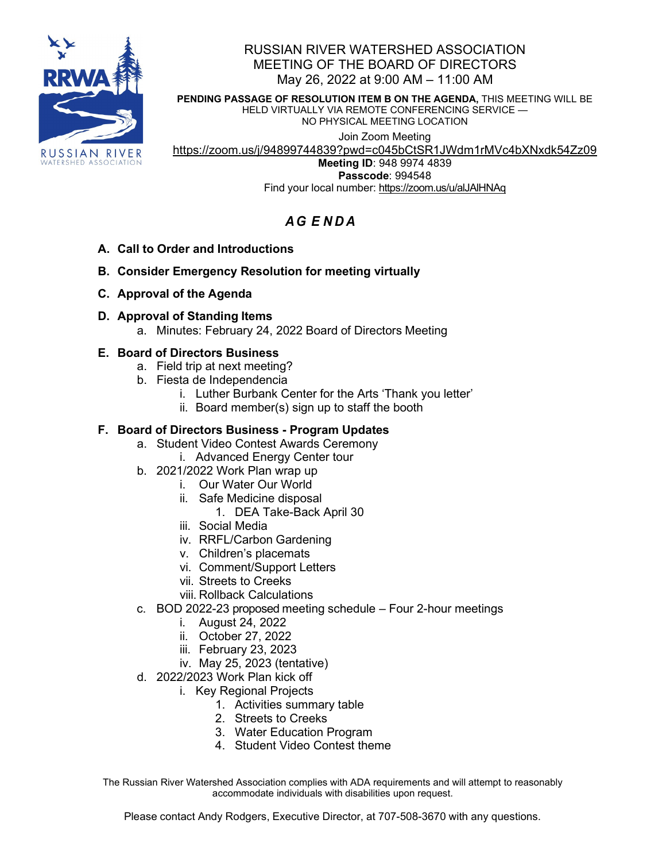

# RUSSIAN RIVER WATERSHED ASSOCIATION MEETING OF THE BOARD OF DIRECTORS May 26, 2022 at 9:00 AM – 11:00 AM

**PENDING PASSAGE OF RESOLUTION ITEM B ON THE AGENDA,** THIS MEETING WILL BE HELD VIRTUALLY VIA REMOTE CONFERENCING SERVICE — NO PHYSICAL MEETING LOCATION

Join Zoom Meeting

<https://zoom.us/j/94899744839?pwd=c045bCtSR1JWdm1rMVc4bXNxdk54Zz09>

**Meeting ID**: 948 9974 4839 **Passcode**: 994548 Find your local number: <https://zoom.us/u/alJAlHNAq>

# *A G E NDA*

- **A. Call to Order and Introductions**
- **B. Consider Emergency Resolution for meeting virtually**
- **C. Approval of the Agenda**
- **D. Approval of Standing Items**
	- a. Minutes: February 24, 2022 Board of Directors Meeting

# **E. Board of Directors Business**

- a. Field trip at next meeting?
- b. Fiesta de Independencia
	- i. Luther Burbank Center for the Arts 'Thank you letter'
	- ii. Board member(s) sign up to staff the booth

# **F. Board of Directors Business - Program Updates**

- a. Student Video Contest Awards Ceremony
	- i. Advanced Energy Center tour
- b. 2021/2022 Work Plan wrap up
	- i. Our Water Our World
	- ii. Safe Medicine disposal
		- 1. DEA Take-Back April 30
	- iii. Social Media
	- iv. RRFL/Carbon Gardening
	- v. Children's placemats
	- vi. Comment/Support Letters
	- vii. Streets to Creeks
	- viii. Rollback Calculations
- c. BOD 2022-23 proposed meeting schedule Four 2-hour meetings
	- i. August 24, 2022
	- ii. October 27, 2022
	- iii. February 23, 2023
	- iv. May 25, 2023 (tentative)
- d. 2022/2023 Work Plan kick off
	- i. Key Regional Projects
		- 1. Activities summary table
		- 2. Streets to Creeks
		- 3. Water Education Program
		- 4. Student Video Contest theme

The Russian River Watershed Association complies with ADA requirements and will attempt to reasonably accommodate individuals with disabilities upon request.

Please contact Andy Rodgers, Executive Director, at 707-508-3670 with any questions.